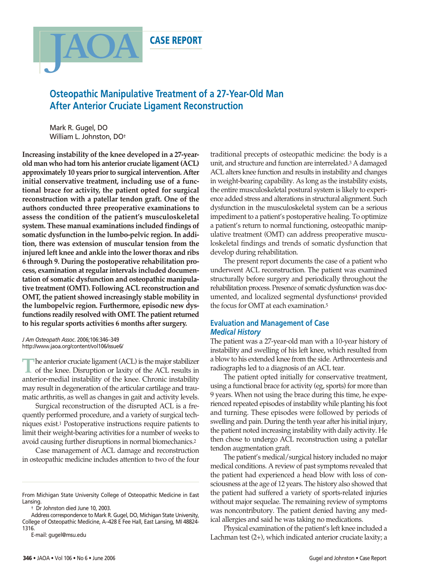

# **Osteopathic Manipulative Treatment of a 27-Year-Old Man After Anterior Cruciate Ligament Reconstruction**

Mark R. Gugel, DO William L. Johnston, DO†

**Increasing instability of the knee developed in a 27-yearold man who had torn his anterior cruciate ligament (ACL) approximately 10 years prior to surgical intervention. After initial conservative treatment, including use of a functional brace for activity, the patient opted for surgical reconstruction with a patellar tendon graft. One of the authors conducted three preoperative examinations to assess the condition of the patient's musculoskeletal system. These manual examinations included findings of somatic dysfunction in the lumbo-pelvic region. In addition, there was extension of muscular tension from the injured left knee and ankle into the lower thorax and ribs 6 through 9. During the postoperative rehabilitation process, examination at regular intervals included documentation of somatic dysfunction and osteopathic manipulative treatment (OMT). Following ACL reconstruction and OMT, the patient showed increasingly stable mobility in the lumbopelvic region. Furthermore, episodic new dysfunctions readily resolved with OMT. The patient returned to his regular sports activities 6 months after surgery.**

*J Am Osteopath Assoc*. 2006;106:346–349 http://www.jaoa.org/content/vol106/issue6/

**T**he anterior cruciate ligament (ACL) is the major stabilizer of the knee. Disruption or laxity of the ACL results in anterior-medial instability of the knee. Chronic instability may result in degeneration of the articular cartilage and traumatic arthritis, as well as changes in gait and activity levels.

Surgical reconstruction of the disrupted ACL is a frequently performed procedure, and a variety of surgical techniques exist.1 Postoperative instructions require patients to limit their weight-bearing activities for a number of weeks to avoid causing further disruptions in normal biomechanics.2

Case management of ACL damage and reconstruction in osteopathic medicine includes attention to two of the four

† Dr Johnston died June 10, 2003.

traditional precepts of osteopathic medicine: the body is a unit, and structure and function are interrelated.3 A damaged ACL alters knee function and results in instability and changes in weight-bearing capability. As long as the instability exists, the entire musculoskeletal postural system is likely to experience added stress and alterations in structural alignment. Such dysfunction in the musculoskeletal system can be a serious impediment to a patient's postoperative healing. To optimize a patient's return to normal functioning, osteopathic manipulative treatment (OMT) can address preoperative musculoskeletal findings and trends of somatic dysfunction that develop during rehabilitation.

The present report documents the case of a patient who underwent ACL reconstruction. The patient was examined structurally before surgery and periodically throughout the rehabilitation process. Presence of somatic dysfunction was documented, and localized segmental dysfunctions4 provided the focus for OMT at each examination.5

## **Evaluation and Management of Case** *Medical History*

The patient was a 27-year-old man with a 10-year history of instability and swelling of his left knee, which resulted from a blow to his extended knee from the side. Arthrocentesis and radiographs led to a diagnosis of an ACL tear.

The patient opted initially for conservative treatment, using a functional brace for activity (eg, sports) for more than 9 years. When not using the brace during this time, he experienced repeated episodes of instability while planting his foot and turning. These episodes were followed by periods of swelling and pain. During the tenth year after his initial injury, the patient noted increasing instability with daily activity. He then chose to undergo ACL reconstruction using a patellar tendon augmentation graft.

The patient's medical/surgical history included no major medical conditions. A review of past symptoms revealed that the patient had experienced a head blow with loss of consciousness at the age of 12 years. The history also showed that the patient had suffered a variety of sports-related injuries without major sequelae. The remaining review of symptoms was noncontributory. The patient denied having any medical allergies and said he was taking no medications.

Physical examination of the patient's left knee included a Lachman test (2+), which indicated anterior cruciate laxity; a

From Michigan State University College of Osteopathic Medicine in East Lansing.

Address correspondence to Mark R. Gugel, DO, Michigan State University, College of Osteopathic Medicine, A–428 E Fee Hall, East Lansing, MI 48824- 1316.

E-mail: gugel@msu.edu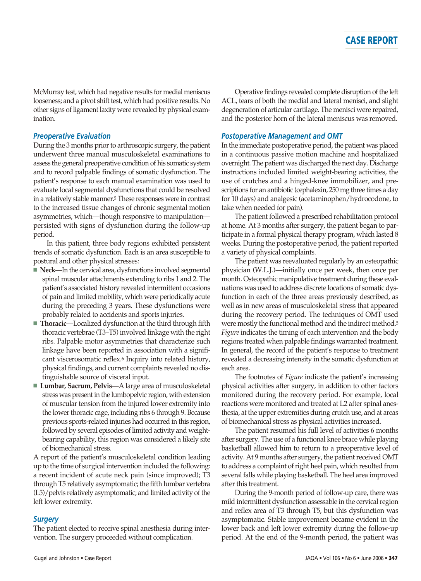McMurray test, which had negative results for medial meniscus looseness; and a pivot shift test, which had positive results. No other signs of ligament laxity were revealed by physical examination.

### *Preoperative Evaluation*

During the 3 months prior to arthroscopic surgery, the patient underwent three manual musculoskeletal examinations to assess the general preoperative condition of his somatic system and to record palpable findings of somatic dysfunction. The patient's response to each manual examination was used to evaluate local segmental dysfunctions that could be resolved in a relatively stable manner.5 These responses were in contrast to the increased tissue changes of chronic segmental motion asymmetries, which—though responsive to manipulation persisted with signs of dysfunction during the follow-up period.

In this patient, three body regions exhibited persistent trends of somatic dysfunction. Each is an area susceptible to postural and other physical stresses:

- **Neck**—In the cervical area, dysfunctions involved segmental spinal muscular attachments extending to ribs 1 and 2. The patient's associated history revealed intermittent occasions of pain and limited mobility, which were periodically acute during the preceding 3 years. These dysfunctions were probably related to accidents and sports injuries.
- **Thoracic**—Localized dysfunction at the third through fifth thoracic vertebrae (T3–T5) involved linkage with the right ribs. Palpable motor asymmetries that characterize such linkage have been reported in association with a significant viscerosomatic reflex.6 Inquiry into related history, physical findings, and current complaints revealed no distinguishable source of visceral input.
- **Lumbar, Sacrum, Pelvis**—A large area of musculoskeletal stress was present in the lumbopelvic region, with extension of muscular tension from the injured lower extremity into the lower thoracic cage, including ribs 6 through 9. Because previous sports-related injuries had occurred in this region, followed by several episodes of limited activity and weightbearing capability, this region was considered a likely site of biomechanical stress.

A report of the patient's musculoskeletal condition leading up to the time of surgical intervention included the following: a recent incident of acute neck pain (since improved); T3 through T5 relatively asymptomatic; the fifth lumbar vertebra (L5)/pelvis relatively asymptomatic; and limited activity of the left lower extremity.

### *Surgery*

The patient elected to receive spinal anesthesia during intervention. The surgery proceeded without complication.

Operative findings revealed complete disruption of the left ACL, tears of both the medial and lateral menisci, and slight degeneration of articular cartilage. The menisci were repaired, and the posterior horn of the lateral meniscus was removed.

### *Postoperative Management and OMT*

In the immediate postoperative period, the patient was placed in a continuous passive motion machine and hospitalized overnight. The patient was discharged the next day. Discharge instructions included limited weight-bearing activities, the use of crutches and a hinged-knee immobilizer, and prescriptions for an antibiotic (cephalexin, 250 mg three times a day for 10 days) and analgesic (acetaminophen/hydrocodone, to take when needed for pain).

The patient followed a prescribed rehabilitation protocol at home. At 3 months after surgery, the patient began to participate in a formal physical therapy program, which lasted 8 weeks. During the postoperative period, the patient reported a variety of physical complaints.

The patient was reevaluated regularly by an osteopathic physician (W.L.J.)—initially once per week, then once per month. Osteopathic manipulative treatment during these evaluations was used to address discrete locations of somatic dysfunction in each of the three areas previously described, as well as in new areas of musculoskeletal stress that appeared during the recovery period. The techniques of OMT used were mostly the functional method and the indirect method.5 *Figure* indicates the timing of each intervention and the body regions treated when palpable findings warranted treatment. In general, the record of the patient's response to treatment revealed a decreasing intensity in the somatic dysfunction at each area.

The footnotes of *Figure* indicate the patient's increasing physical activities after surgery, in addition to other factors monitored during the recovery period. For example, local reactions were monitored and treated at L2 after spinal anesthesia, at the upper extremities during crutch use, and at areas of biomechanical stress as physical activities increased.

The patient resumed his full level of activities 6 months after surgery. The use of a functional knee brace while playing basketball allowed him to return to a preoperative level of activity. At 9 months after surgery, the patient received OMT to address a complaint of right heel pain, which resulted from several falls while playing basketball. The heel area improved after this treatment.

During the 9-month period of follow-up care, there was mild intermittent dysfunction assessable in the cervical region and reflex area of T3 through T5, but this dysfunction was asymptomatic. Stable improvement became evident in the lower back and left lower extremity during the follow-up period. At the end of the 9-month period, the patient was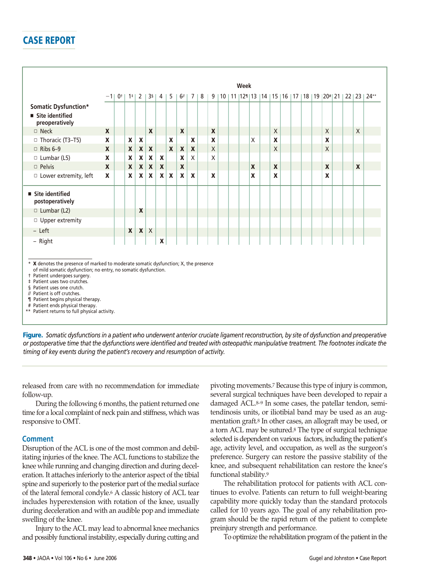# **CASE REPORT**

|                                                                                                                                                                                                                                                                                                                                                                                                               |                  | Week<br>9   10   11   12   13   14   15   16   17   18   19   20   21   22   23   24** |                  |                           |                  |              |                |                  |                           |     |                  |  |  |  |   |  |                           |  |  |                  |  |          |  |
|---------------------------------------------------------------------------------------------------------------------------------------------------------------------------------------------------------------------------------------------------------------------------------------------------------------------------------------------------------------------------------------------------------------|------------------|----------------------------------------------------------------------------------------|------------------|---------------------------|------------------|--------------|----------------|------------------|---------------------------|-----|------------------|--|--|--|---|--|---------------------------|--|--|------------------|--|----------|--|
|                                                                                                                                                                                                                                                                                                                                                                                                               | $-11$            |                                                                                        | $0+1+1$          |                           |                  |              | 2   3s   4   5 | 6                | 7                         | l 8 |                  |  |  |  |   |  |                           |  |  |                  |  |          |  |
| Somatic Dysfunction*                                                                                                                                                                                                                                                                                                                                                                                          |                  |                                                                                        |                  |                           |                  |              |                |                  |                           |     |                  |  |  |  |   |  |                           |  |  |                  |  |          |  |
| ■ Site identified<br>preoperatively                                                                                                                                                                                                                                                                                                                                                                           |                  |                                                                                        |                  |                           |                  |              |                |                  |                           |     |                  |  |  |  |   |  |                           |  |  |                  |  |          |  |
| $\square$ Neck                                                                                                                                                                                                                                                                                                                                                                                                | $\boldsymbol{x}$ |                                                                                        |                  |                           | $\boldsymbol{x}$ |              |                | $\boldsymbol{x}$ |                           |     | X                |  |  |  |   |  | $\times$                  |  |  | $\times$         |  | $\times$ |  |
| □ Thoracic (T3-T5)                                                                                                                                                                                                                                                                                                                                                                                            | X                |                                                                                        | $\boldsymbol{x}$ | $\boldsymbol{\mathsf{x}}$ |                  |              | X              |                  | X                         |     | $\boldsymbol{x}$ |  |  |  | X |  | $\boldsymbol{\mathsf{x}}$ |  |  | $\boldsymbol{x}$ |  |          |  |
| $\Box$ Ribs 6-9                                                                                                                                                                                                                                                                                                                                                                                               | X                |                                                                                        | X                | $\mathbf{x}$              | $\mathbf{x}$     |              | $\mathbf{x}$   | $\boldsymbol{X}$ | $\boldsymbol{x}$          |     | $\sf X$          |  |  |  |   |  | X                         |  |  | $\sf X$          |  |          |  |
| $\Box$ Lumbar (L5)                                                                                                                                                                                                                                                                                                                                                                                            | X                |                                                                                        | X                | X                         | X                | X            |                | X                | $\mathsf{X}$              |     | $\times$         |  |  |  |   |  |                           |  |  |                  |  |          |  |
| <b>D</b> Pelvis                                                                                                                                                                                                                                                                                                                                                                                               | X                |                                                                                        | $\mathbf{x}$     | X                         | X                | X            |                | $\boldsymbol{x}$ |                           |     |                  |  |  |  | X |  | $\boldsymbol{\mathsf{x}}$ |  |  | $\boldsymbol{x}$ |  | X        |  |
| □ Lower extremity, left                                                                                                                                                                                                                                                                                                                                                                                       | X                |                                                                                        | X                | $\mathbf{x}$              | X                | $\mathbf{x}$ | $\mathbf{x}$   | $\boldsymbol{x}$ | $\boldsymbol{\mathsf{x}}$ |     | X                |  |  |  | X |  | $\boldsymbol{\mathsf{x}}$ |  |  | X                |  |          |  |
| ■ Site identified<br>postoperatively                                                                                                                                                                                                                                                                                                                                                                          |                  |                                                                                        |                  |                           |                  |              |                |                  |                           |     |                  |  |  |  |   |  |                           |  |  |                  |  |          |  |
| $\Box$ Lumbar (L2)                                                                                                                                                                                                                                                                                                                                                                                            |                  |                                                                                        |                  | X                         |                  |              |                |                  |                           |     |                  |  |  |  |   |  |                           |  |  |                  |  |          |  |
| □ Upper extremity                                                                                                                                                                                                                                                                                                                                                                                             |                  |                                                                                        |                  |                           |                  |              |                |                  |                           |     |                  |  |  |  |   |  |                           |  |  |                  |  |          |  |
| $-$ Left                                                                                                                                                                                                                                                                                                                                                                                                      |                  |                                                                                        | $\boldsymbol{x}$ | $\pmb{\mathsf{X}}$        | $\mathsf{X}$     |              |                |                  |                           |     |                  |  |  |  |   |  |                           |  |  |                  |  |          |  |
| - Right                                                                                                                                                                                                                                                                                                                                                                                                       |                  |                                                                                        |                  |                           |                  | X            |                |                  |                           |     |                  |  |  |  |   |  |                           |  |  |                  |  |          |  |
| * X denotes the presence of marked to moderate somatic dysfunction; X, the presence<br>of mild somatic dysfunction; no entry, no somatic dysfunction.<br>† Patient undergoes surgery.<br># Patient uses two crutches.<br>§ Patient uses one crutch.<br>// Patient is off crutches.<br>1 Patient begins physical therapy.<br># Patient ends physical therapy.<br>** Patient returns to full physical activity. |                  |                                                                                        |                  |                           |                  |              |                |                  |                           |     |                  |  |  |  |   |  |                           |  |  |                  |  |          |  |

**Figure.** *Somatic dysfunctions in a patient who underwent anterior cruciate ligament reconstruction, by site of dysfunction and preoperative or postoperative time that the dysfunctions were identified and treated with osteopathic manipulative treatment. The footnotes indicate the timing of key events during the patient's recovery and resumption of activity.*

released from care with no recommendation for immediate follow-up.

During the following 6 months, the patient returned one time for a local complaint of neck pain and stiffness, which was responsive to OMT.

### **Comment**

Disruption of the ACL is one of the most common and debilitating injuries of the knee. The ACL functions to stabilize the knee while running and changing direction and during deceleration. It attaches inferiorly to the anterior aspect of the tibial spine and superiorly to the posterior part of the medial surface of the lateral femoral condyle.6 A classic history of ACL tear includes hyperextension with rotation of the knee, usually during deceleration and with an audible pop and immediate swelling of the knee.

Injury to the ACL may lead to abnormal knee mechanics and possibly functional instability, especially during cutting and pivoting movements.7 Because this type of injury is common, several surgical techniques have been developed to repair a damaged ACL.8–9 In some cases, the patellar tendon, semitendinosis units, or iliotibial band may be used as an augmentation graft.8 In other cases, an allograft may be used, or a torn ACL may be sutured.8 The type of surgical technique selected is dependent on various factors, including the patient's age, activity level, and occupation, as well as the surgeon's preference. Surgery can restore the passive stability of the knee, and subsequent rehabilitation can restore the knee's functional stability.9

The rehabilitation protocol for patients with ACL continues to evolve. Patients can return to full weight-bearing capability more quickly today than the standard protocols called for 10 years ago. The goal of any rehabilitation program should be the rapid return of the patient to complete preinjury strength and performance.

To optimize the rehabilitation program of the patient in the